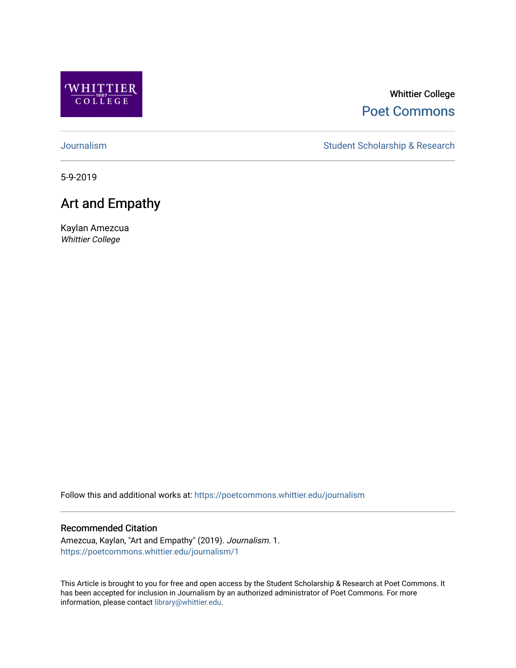

### Whittier College [Poet Commons](https://poetcommons.whittier.edu/)

[Journalism](https://poetcommons.whittier.edu/journalism) **Student Scholarship & Research** Student Scholarship & Research

5-9-2019

## Art and Empathy

Kaylan Amezcua Whittier College

Follow this and additional works at: [https://poetcommons.whittier.edu/journalism](https://poetcommons.whittier.edu/journalism?utm_source=poetcommons.whittier.edu%2Fjournalism%2F1&utm_medium=PDF&utm_campaign=PDFCoverPages) 

#### Recommended Citation

Amezcua, Kaylan, "Art and Empathy" (2019). Journalism. 1. [https://poetcommons.whittier.edu/journalism/1](https://poetcommons.whittier.edu/journalism/1?utm_source=poetcommons.whittier.edu%2Fjournalism%2F1&utm_medium=PDF&utm_campaign=PDFCoverPages) 

This Article is brought to you for free and open access by the Student Scholarship & Research at Poet Commons. It has been accepted for inclusion in Journalism by an authorized administrator of Poet Commons. For more information, please contact [library@whittier.edu.](mailto:library@whittier.edu)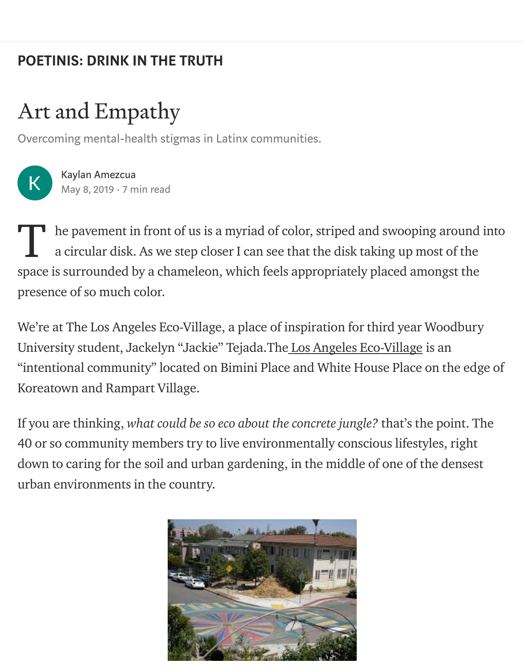# [POETINIS: DRINK IN THE TRUTH](https://medium.com/engl-201?source=post_page-----fd23af5daee2----------------------)

# Art and Empathy

Overcoming mental-health stigmas in Latinx communities.



[Kaylan Amezcua](https://medium.com/@kamezcua?source=post_page-----fd23af5daee2----------------------) [May 8, 2019](https://medium.com/engl-201/putting-a-new-face-forward-fd23af5daee2?source=post_page-----fd23af5daee2----------------------) · 7 min read

he pavement in front of us is a myriad of color, striped and swooping around into a circular disk. As we step closer I can see that the disk taking up most of the space is surrounded by a chameleon, which feels appropriately placed amongst the presence of so much color. T

We're at The Los Angeles Eco-Village, a place of inspiration for third year Woodbury University student, Jackelyn "Jackie" Tejada.Th[e Los Angeles Eco-Village](http://laecovillage.org/) is an "intentional community" located on Bimini Place and White House Place on the edge of Koreatown and Rampart Village.

If you are thinking, what could be so eco about the concrete jungle? that's the point. The 40 or so community members try to live environmentally conscious lifestyles, right down to caring for the soil and urban gardening, in the middle of one of the densest urban environments in the country.

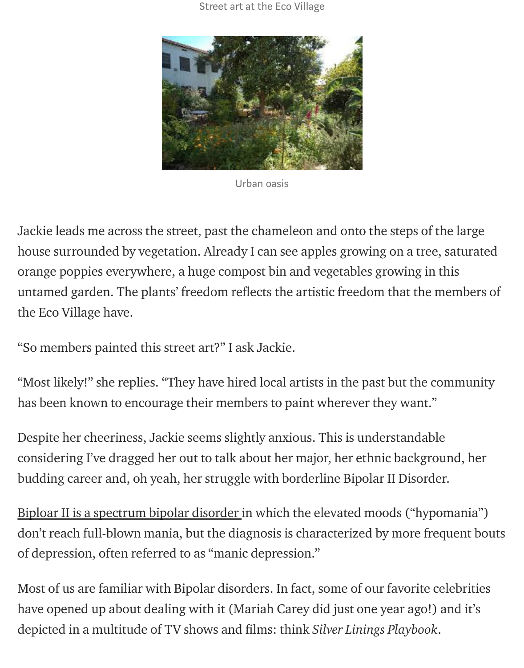Street art at the Eco Village



Urban oasis

Jackie leads me across the street, past the chameleon and onto the steps of the large house surrounded by vegetation. Already I can see apples growing on a tree, saturated orange poppies everywhere, a huge compost bin and vegetables growing in this untamed garden. The plants' freedom reflects the artistic freedom that the members of the Eco Village have.

"So members painted this street art?" I ask Jackie.

"Most likely!" she replies. "They have hired local artists in the past but the community has been known to encourage their members to paint wherever they want."

Despite her cheeriness, Jackie seems slightly anxious. This is understandable considering I've dragged her out to talk about her major, her ethnic background, her budding career and, oh yeah, her struggle with borderline Bipolar II Disorder.

[Biploar II is a spectrum bipolar disorder](https://www.webmd.com/bipolar-disorder/guide/bipolar-2-disorder#1) in which the elevated moods ("hypomania") don't reach full-blown mania, but the diagnosis is characterized by more frequent bouts of depression, often referred to as "manic depression."

Most of us are familiar with Bipolar disorders. In fact, some of our favorite celebrities have opened up about dealing with it (Mariah Carey did just one year ago!) and it's depicted in a multitude of TV shows and films: think Silver Linings Playbook.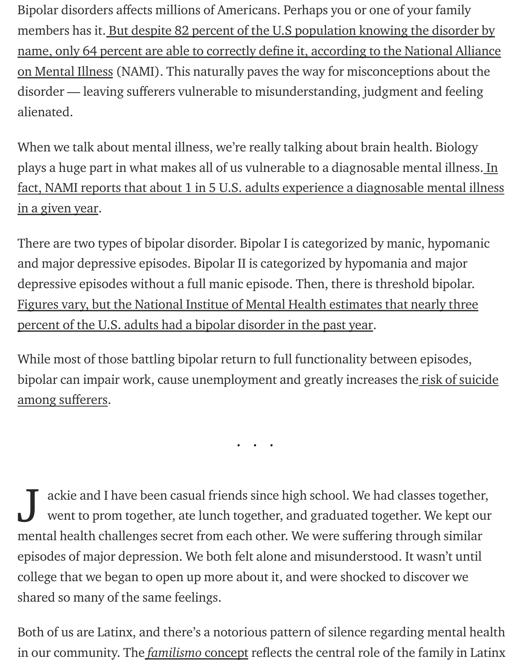Bipolar disorders affects millions of Americans. Perhaps you or one of your family members has it. But despite 82 percent of the U.S population knowing the disorder by name, only 64 percent are able to correctly define it, according to the National Alliance on Mental Illness (NAMI). This naturally paves the way for misconceptions about the disorder — leaving sufferers vulnerable to misunderstanding, judgment and feeling alienated.

When we talk about mental illness, we're really talking about brain health. Biology plays a huge part in what makes all of us vulnerable to a diagnosable mental illness. In [fact, NAMI reports that about 1 in 5 U.S. adults experience a diagnosable mental illness](https://www.nami.org/Learn-More/Mental-Health-By-the-Numbers) in a given year.

There are two types of bipolar disorder. Bipolar I is categorized by manic, hypomanic and major depressive episodes. Bipolar II is categorized by hypomania and major depressive episodes without a full manic episode. Then, there is threshold bipolar. [Figures vary, but the National Institue of Mental Health estimates that nearly three](https://www.nimh.nih.gov/health/statistics/bipolar-disorder.shtml) percent of the U.S. adults had a bipolar disorder in the past year.

While most of those battling bipolar return to full functionality between episodes, [bipolar can impair work, cause unemployment and greatly increases the risk of suicide](https://www.ncbi.nlm.nih.gov/pubmed/10826661) among sufferers.

...

ackie and I have been casual friends since high school. We had classes together, went to prom together, ate lunch together, and graduated together. We kept our mental health challenges secret from each other. We were suffering through similar episodes of major depression. We both felt alone and misunderstood. It wasn't until college that we began to open up more about it, and were shocked to discover we shared so many of the same feelings. J

Both of us are Latinx, and there's a notorious pattern of silence regarding mental health in our community. The *[familismo](https://www.psychologytoday.com/us/blog/life-in-the-intersection/201704/familismo)* concept reflects the central role of the family in Latinx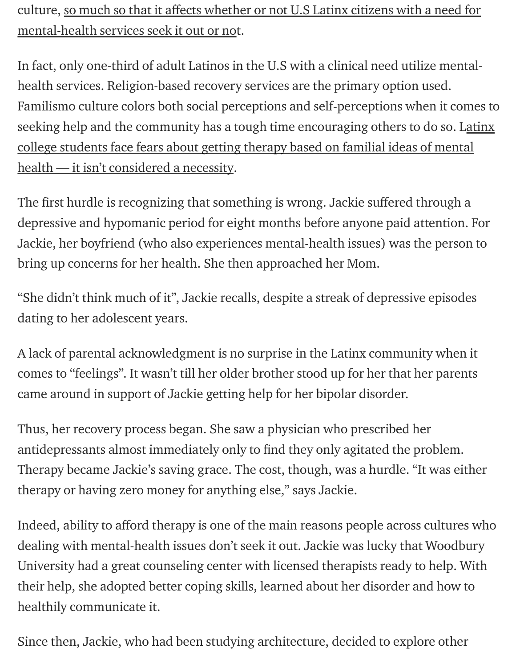culture, so much so that it affects whether or not U.S Latinx citizens with a need for mental-health services seek it out or not.

In fact, only one-third of adult Latinos in the U.S with a clinical need utilize mentalhealth services. Religion-based recovery services are the primary option used. Familismo culture colors both social perceptions and self-perceptions when it comes to [seeking help and the community has a tough time encouraging others to do so. Latinx](https://psycnet.apa.org/doiLanding?doi=10.1037%2Fser0000146) college students face fears about getting therapy based on familial ideas of mental health — it isn't considered a necessity.

The first hurdle is recognizing that something is wrong. Jackie suffered through a depressive and hypomanic period for eight months before anyone paid attention. For Jackie, her boyfriend (who also experiences mental-health issues) was the person to bring up concerns for her health. She then approached her Mom.

"She didn't think much of it", Jackie recalls, despite a streak of depressive episodes dating to her adolescent years.

A lack of parental acknowledgment is no surprise in the Latinx community when it comes to "feelings". It wasn't till her older brother stood up for her that her parents came around in support of Jackie getting help for her bipolar disorder.

Thus, her recovery process began. She saw a physician who prescribed her antidepressants almost immediately only to find they only agitated the problem. Therapy became Jackie's saving grace. The cost, though, was a hurdle. "It was either therapy or having zero money for anything else," says Jackie.

Indeed, ability to afford therapy is one of the main reasons people across cultures who dealing with mental-health issues don't seek it out. Jackie was lucky that Woodbury University had a great counseling center with licensed therapists ready to help. With their help, she adopted better coping skills, learned about her disorder and how to healthily communicate it.

Since then, Jackie, who had been studying architecture, decided to explore other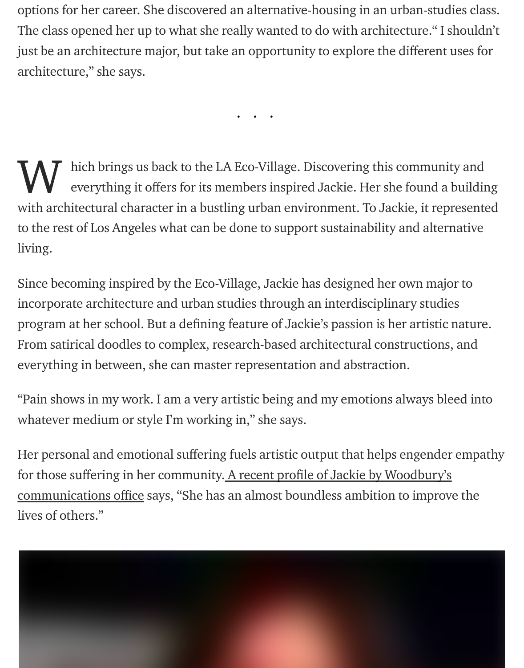options for her career. She discovered an alternative-housing in an urban-studies class. The class opened her up to what she really wanted to do with architecture." I shouldn't just be an architecture major, but take an opportunity to explore the different uses for architecture," she says.

...

hich brings us back to the LA Eco-Village. Discovering this community and everything it offers for its members inspired Jackie. Her she found a building with architectural character in a bustling urban environment. To Jackie, it represented to the rest of Los Angeles what can be done to support sustainability and alternative living. W

Since becoming inspired by the Eco-Village, Jackie has designed her own major to incorporate architecture and urban studies through an interdisciplinary studies program at her school. But a defining feature of Jackie's passion is her artistic nature. From satirical doodles to complex, research-based architectural constructions, and everything in between, she can master representation and abstraction.

"Pain shows in my work. I am a very artistic being and my emotions always bleed into whatever medium or style I'm working in," she says.

Her personal and emotional suffering fuels artistic output that helps engender empathy for those suffering in her community. A recent profile of Jackie by Woodbury's communications office says, "She has an almost boundless ambition to improve the lives of others."

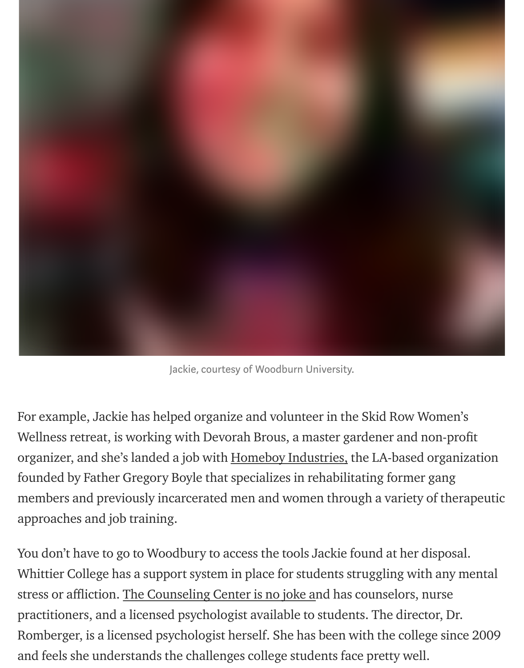

Jackie, courtesy of Woodburn University.

For example, Jackie has helped organize and volunteer in the Skid Row Women's Wellness retreat, is working with Devorah Brous, a master gardener and non-profit organizer, and she's landed a job with [Homeboy Industries,](https://homeboyindustries.org/our-story/our-mission/) the LA-based organization founded by Father Gregory Boyle that specializes in rehabilitating former gang members and previously incarcerated men and women through a variety of therapeutic approaches and job training.

You don't have to go to Woodbury to access the tools Jackie found at her disposal. Whittier College has a support system in place for students struggling with any mental stress or affliction. [The Counseling Center is no joke an](https://www.whittier.edu/counseling/resources)d has counselors, nurse practitioners, and a licensed psychologist available to students. The director, Dr. Romberger, is a licensed psychologist herself. She has been with the college since 2009 and feels she understands the challenges college students face pretty well.